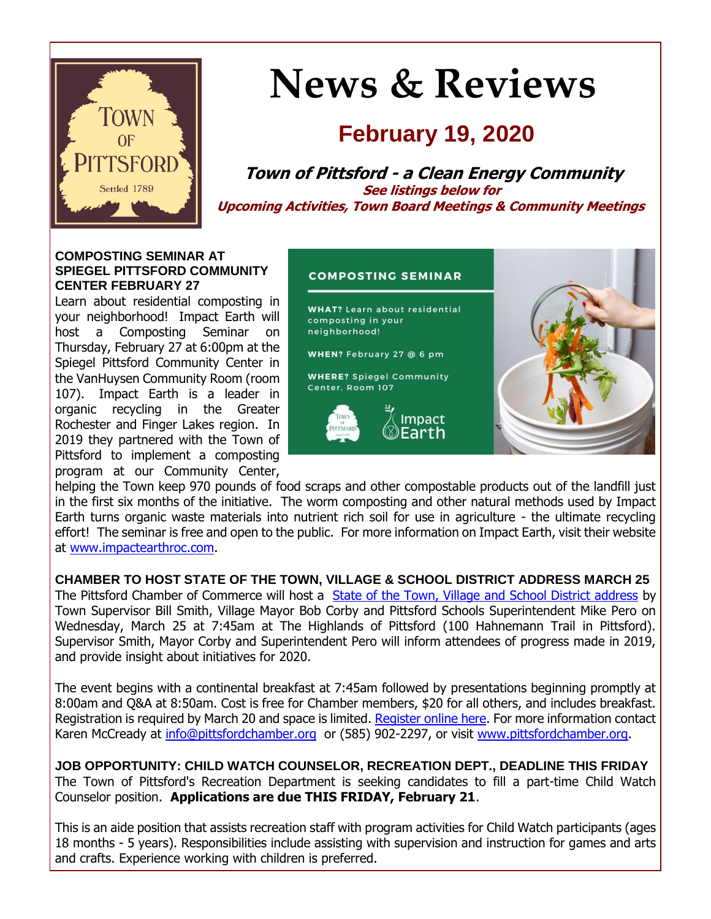

# **News & Reviews**

## **February 19, 2020**

**Town of Pittsford - a Clean Energy Community See listings below for Upcoming Activities, Town Board Meetings & Community Meetings**

#### **COMPOSTING SEMINAR AT SPIEGEL PITTSFORD COMMUNITY CENTER FEBRUARY 27**

Learn about residential composting in your neighborhood! Impact Earth will host a Composting Seminar on Thursday, February 27 at 6:00pm at the Spiegel Pittsford Community Center in the VanHuysen Community Room (room 107). Impact Earth is a leader in organic recycling in the Greater Rochester and Finger Lakes region. In 2019 they partnered with the Town of Pittsford to implement a composting program at our Community Center,

#### **COMPOSTING SEMINAR**

**WHAT?** Learn about residential composting in your neighborhood!

WHEN? February 27 @ 6 pm

**WHERE?** Spiegel Community Center, Room 107





helping the Town keep 970 pounds of food scraps and other compostable products out of the landfill just in the first six months of the initiative. The worm composting and other natural methods used by Impact Earth turns organic waste materials into nutrient rich soil for use in agriculture - the ultimate recycling effort! The seminar is free and open to the public. For more information on Impact Earth, visit their website at [www.impactearthroc.com.](http://r20.rs6.net/tn.jsp?f=001Gn3VHATbXSb8ikjX-mELQNJfCR6xoQiGKi-Dg8Yn91iFh9y7Yh53hb8xxUKWtrPR5h5WMyjTzQHrkO54XTgoGCFILi9D8wXWs7p9ZaQT8gonlKsRr-zeQC3iQRNrIKBB4hI_pr8DyQaOOmcURAI_wdnDUHH2GDusQLpxWhr_e5ZMPMd6R4NVQYvhqWsWN6ndCn-R0UqpBTsP6X9iGOfDn80Cgjkc21Hy_qB1Xt0SVzFJklwdI3BW__289tZnRKP5zQggcVqW8M2AkrKnDCIhYobiL60oO8KpRF31NSvQO8A=&c=6Y2d3iDJG5aeDLACpk3DxI1ZAJI3R4-anSQc6XUPP62d4_RjqaZz8A==&ch=trIl9KfcWMwbew17OmBrYIUQDgyUaYFAj8an6fvYc-WuIBPgFM5PgQ==)

**CHAMBER TO HOST STATE OF THE TOWN, VILLAGE & SCHOOL DISTRICT ADDRESS MARCH 25** The Pittsford Chamber of Commerce will host a [State of the Town, Village and School District address](http://r20.rs6.net/tn.jsp?f=001Gn3VHATbXSb8ikjX-mELQNJfCR6xoQiGKi-Dg8Yn91iFh9y7Yh53hQ7BBJI-T_A7-yQGBJmE15AqFM3BmkkR6TheB6ky3PKCp7K0MtdyepoB-sANu1cpiesRa_nNY_qotUUL0L3dSPnXse-72SsdhBNmINowbl6m2h85kiZgRwACgniDM4vLZaH1sVc02VjkEk8ku6nct3-gXKn_l_fQiaNSlHdQ6nQYeSX_vlYYKxHUT1is9BmweAXm4acwbepxQF7nE79CACjDRKr2AnAp1zOH_jaigsDMEXCLXqA67np7zy3Iw3-m78Cmtsd4_GYuZaKRfdGr832THkJLo2FESf122Hx92op1&c=6Y2d3iDJG5aeDLACpk3DxI1ZAJI3R4-anSQc6XUPP62d4_RjqaZz8A==&ch=trIl9KfcWMwbew17OmBrYIUQDgyUaYFAj8an6fvYc-WuIBPgFM5PgQ==) by Town Supervisor Bill Smith, Village Mayor Bob Corby and Pittsford Schools Superintendent Mike Pero on Wednesday, March 25 at 7:45am at The Highlands of Pittsford (100 Hahnemann Trail in Pittsford). Supervisor Smith, Mayor Corby and Superintendent Pero will inform attendees of progress made in 2019, and provide insight about initiatives for 2020.

The event begins with a continental breakfast at 7:45am followed by presentations beginning promptly at 8:00am and Q&A at 8:50am. Cost is free for Chamber members, \$20 for all others, and includes breakfast. Registration is required by March 20 and space is limited. [Register online here.](http://r20.rs6.net/tn.jsp?f=001Gn3VHATbXSb8ikjX-mELQNJfCR6xoQiGKi-Dg8Yn91iFh9y7Yh53hQ7BBJI-T_A7W2hGNa8J0fYcfAbVoB2GOpf9yU4g1do3oXJDu_Su0MmY7wOIcSrA0zq8_tFBeOkx5vETs5ct3hwe-lXnAO9W8nSifEdZbjxU1EGdSE_FWVzvxlbboNvPpby5qtbmljG2Ko2X9D6pVbZPpPpltVO2qmXXlQoa3DqfAGuhMpuJS2DV-poCb2kesfwd1wl0iXn6M-cdJnnrJccoQYVkEXv394pnLXi3q2Ogtqlo8gReXXxMhV20-fVw0WMFBPVq5AsNwc_go4NZiNGoKYfb7XHXMR7MLllBllgMF-PaWqIlM3aPA1VkwAME2zREICnIuBsWyG1MQAen6sE6OJwzovWwLQ==&c=6Y2d3iDJG5aeDLACpk3DxI1ZAJI3R4-anSQc6XUPP62d4_RjqaZz8A==&ch=trIl9KfcWMwbew17OmBrYIUQDgyUaYFAj8an6fvYc-WuIBPgFM5PgQ==) For more information contact Karen McCready at [info@pittsfordchamber.org](mailto:info@pittsfordchamber.org?subject=Pittsford%20State%20of%20the%20Town%2C%20Village%20and%20School%20District) or (585) 902-2297, or visit [www.pittsfordchamber.org.](http://r20.rs6.net/tn.jsp?f=001Gn3VHATbXSb8ikjX-mELQNJfCR6xoQiGKi-Dg8Yn91iFh9y7Yh53hcrNe_0f4u9dwaEomYuGYWTBUwFINCJrMQHVgRJMf4ddcqs4qucGDxDohWJghFuzf2zkmchJVo6TJNiXIleH123IqVhaAU_SpOJyzdDbZurFcqyflLK78iBN9mjay_3Csq63FVxTM-_Ku3pfphwqMSMuUTfSKsIq_OJMDbfDiJNbB0dkG6FHP_xIsLroOXrjMnsNfFU0Y1VT8_AyiTvK94QsDHsgyzoNIdYuzmXlHP9N6SAtaf8bflo=&c=6Y2d3iDJG5aeDLACpk3DxI1ZAJI3R4-anSQc6XUPP62d4_RjqaZz8A==&ch=trIl9KfcWMwbew17OmBrYIUQDgyUaYFAj8an6fvYc-WuIBPgFM5PgQ==)

**JOB OPPORTUNITY: CHILD WATCH COUNSELOR, RECREATION DEPT., DEADLINE THIS FRIDAY** The Town of Pittsford's Recreation Department is seeking candidates to fill a part-time Child Watch Counselor position. **Applications are due THIS FRIDAY, February 21**.

This is an aide position that assists recreation staff with program activities for Child Watch participants (ages 18 months - 5 years). Responsibilities include assisting with supervision and instruction for games and arts and crafts. Experience working with children is preferred.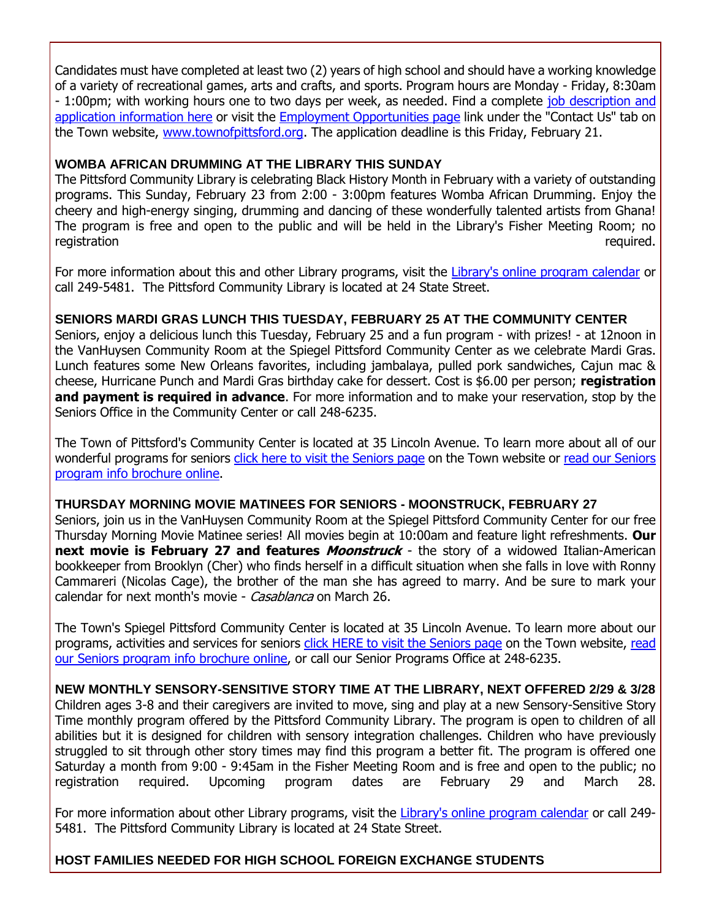Candidates must have completed at least two (2) years of high school and should have a working knowledge of a variety of recreational games, arts and crafts, and sports. Program hours are Monday - Friday, 8:30am - 1:00pm; with working hours one to two days per week, as needed. Find a complete [job description and](http://r20.rs6.net/tn.jsp?f=001Gn3VHATbXSb8ikjX-mELQNJfCR6xoQiGKi-Dg8Yn91iFh9y7Yh53hR_5-X6ZMMqBKuIZZFvFl8fifY4PrmwsavXkB_b60nf0yU1VLkjuwyNwzSS-JzYWEFeDQwNXhGfkyNp4qXN2G369EAxdRIUwK0mjOXeP15nB1zjOzN9KZHk-rG1hvfwtVYLlfsrr-wrGRFsLIKee7acWSMEcpTyl7PzuOijJ5J0oDypKM_43yRL_2-uBO1F1nvCDba7SZaHq7uXdbluCIZEAoDFyxtru88oA0lsZrvX7IeVnV_FGImzN2vIjw0AFFkPmG2TRGYHnz8p3slxlebP0vWHZSHjMdoNnpTyPVRg1JE_B9Ppxb8TlakVhz9KNcS6VD1FOYOI3EnrjV8e6FEyfa2dmUcls_RYioo0Yh87G&c=6Y2d3iDJG5aeDLACpk3DxI1ZAJI3R4-anSQc6XUPP62d4_RjqaZz8A==&ch=trIl9KfcWMwbew17OmBrYIUQDgyUaYFAj8an6fvYc-WuIBPgFM5PgQ==)  [application information here](http://r20.rs6.net/tn.jsp?f=001Gn3VHATbXSb8ikjX-mELQNJfCR6xoQiGKi-Dg8Yn91iFh9y7Yh53hR_5-X6ZMMqBKuIZZFvFl8fifY4PrmwsavXkB_b60nf0yU1VLkjuwyNwzSS-JzYWEFeDQwNXhGfkyNp4qXN2G369EAxdRIUwK0mjOXeP15nB1zjOzN9KZHk-rG1hvfwtVYLlfsrr-wrGRFsLIKee7acWSMEcpTyl7PzuOijJ5J0oDypKM_43yRL_2-uBO1F1nvCDba7SZaHq7uXdbluCIZEAoDFyxtru88oA0lsZrvX7IeVnV_FGImzN2vIjw0AFFkPmG2TRGYHnz8p3slxlebP0vWHZSHjMdoNnpTyPVRg1JE_B9Ppxb8TlakVhz9KNcS6VD1FOYOI3EnrjV8e6FEyfa2dmUcls_RYioo0Yh87G&c=6Y2d3iDJG5aeDLACpk3DxI1ZAJI3R4-anSQc6XUPP62d4_RjqaZz8A==&ch=trIl9KfcWMwbew17OmBrYIUQDgyUaYFAj8an6fvYc-WuIBPgFM5PgQ==) or visit the [Employment Opportunities page](http://r20.rs6.net/tn.jsp?f=001Gn3VHATbXSb8ikjX-mELQNJfCR6xoQiGKi-Dg8Yn91iFh9y7Yh53hcdP-D_9U0mzz2-OGyY5xQnz7iQDmrHfhMQmx6J2WUVeFNfrJowbTM3LAoQHZEgRYE72LqZXaKLLViSDXmnI3jiRN_PDHEeu6ebN9np_CwUh_wsR92J2UsAlQNLOHLns7GbqrDGezWTtrd9iACwqXpKynBBUczeYSbTyYIA23LdDv7fYcGebV76MCQSLg0VM03sClpm559U9xwg70qCUzkreoojxbUOE9Ppi7SAe-cuCMFvsyALOrowbEEQKaxUdviOoG2FRcusbSwcIyZK7QeMKd15NV8T9ZoZAkDLJPiY9&c=6Y2d3iDJG5aeDLACpk3DxI1ZAJI3R4-anSQc6XUPP62d4_RjqaZz8A==&ch=trIl9KfcWMwbew17OmBrYIUQDgyUaYFAj8an6fvYc-WuIBPgFM5PgQ==) link under the "Contact Us" tab on the Town website, [www.townofpittsford.org.](http://r20.rs6.net/tn.jsp?f=001Gn3VHATbXSb8ikjX-mELQNJfCR6xoQiGKi-Dg8Yn91iFh9y7Yh53hbUY56xWuZsnuy80mz6kvRXG6jT9dmwJm3WLTrXWRnZwhITEJSPjiGZ3b0NkIpjm7_zaGruhrhIlCLsDk0rnxgOFhLvMPf9harLJswPAoRZWdSATu7SVmlyf1bq83Ltfs6pwHxlUsNQm9IcBhBeu-PU--VHXgPHKn3P_Fmz2AqnF6kyfHdNGUSeKoVKFLH-8-I216erH3AVQHy1EXvYAtYx31E-noq_Urmey-oHGvNxL3bbcmkD0zzY=&c=6Y2d3iDJG5aeDLACpk3DxI1ZAJI3R4-anSQc6XUPP62d4_RjqaZz8A==&ch=trIl9KfcWMwbew17OmBrYIUQDgyUaYFAj8an6fvYc-WuIBPgFM5PgQ==) The application deadline is this Friday, February 21.

#### **WOMBA AFRICAN DRUMMING AT THE LIBRARY THIS SUNDAY**

The Pittsford Community Library is celebrating Black History Month in February with a variety of outstanding programs. This Sunday, February 23 from 2:00 - 3:00pm features Womba African Drumming. Enjoy the cheery and high-energy singing, drumming and dancing of these wonderfully talented artists from Ghana! The program is free and open to the public and will be held in the Library's Fisher Meeting Room; no registration required.

For more information about this and other Library programs, visit the [Library's online program calendar](http://r20.rs6.net/tn.jsp?f=001Gn3VHATbXSb8ikjX-mELQNJfCR6xoQiGKi-Dg8Yn91iFh9y7Yh53haoB-_tqZfzXPUOD1003wZ4yDJjA1IrtnuRBoiidScANg_SIYBTymLWytxp1lgIbuQZENsBp1NOVvorFcipD5zygpwGWLijHq5oEp-H8Q3h8w3yvH89uUJ1bqiyXWhQkvtt2ApB2Rf-wdA5djfKOhHSh5ophBro9wu60Yxen-vFj140vIyWYGIrdYvzPgkJVid1wSRY92V_rLhZLhL9YP2lgd7VMxEY6fNsFtOgjzw9Ma8y9u88tdyJNvjda-yH0OBMuTtQ-D9Xrrfjo605SaHz0tuM7tNBtczkeh9HM45NFT1wZ_dT-PyZJ1yOonQHYhl0zil2kb37IcC9LyaERHDY=&c=6Y2d3iDJG5aeDLACpk3DxI1ZAJI3R4-anSQc6XUPP62d4_RjqaZz8A==&ch=trIl9KfcWMwbew17OmBrYIUQDgyUaYFAj8an6fvYc-WuIBPgFM5PgQ==) or call 249-5481. The Pittsford Community Library is located at 24 State Street.

#### **SENIORS MARDI GRAS LUNCH THIS TUESDAY, FEBRUARY 25 AT THE COMMUNITY CENTER**

Seniors, enjoy a delicious lunch this Tuesday, February 25 and a fun program - with prizes! - at 12noon in the VanHuysen Community Room at the Spiegel Pittsford Community Center as we celebrate Mardi Gras. Lunch features some New Orleans favorites, including jambalaya, pulled pork sandwiches, Cajun mac & cheese, Hurricane Punch and Mardi Gras birthday cake for dessert. Cost is \$6.00 per person; **registration and payment is required in advance**. For more information and to make your reservation, stop by the Seniors Office in the Community Center or call 248-6235.

The Town of Pittsford's Community Center is located at 35 Lincoln Avenue. To learn more about all of our wonderful programs for seniors [click here to visit the Seniors page](http://r20.rs6.net/tn.jsp?f=001Gn3VHATbXSb8ikjX-mELQNJfCR6xoQiGKi-Dg8Yn91iFh9y7Yh53hdlr4BzNO_Y-HrGHxApNkHt0M1xFvl3h-qAah3O6WLFevmj29UA164UFYXAbr3qIpmC14A84x7XBXTlZGSILjBE4Ctn0O1PmL15V2kzHSX8AH-gGQbV9uepvhug7iqQG6THGmH7NnQ8T0ywdmjwZ6fMhK-TzQHLVKqFUJc6yPsqCXlikTPRjjCbctR9tDz3ZThoT6JYwWp_zg5IL8BEZeclmt2s0gvTx6OrsVBpeS7S2I1pao7HOhW3v5DdoWCSIxg==&c=6Y2d3iDJG5aeDLACpk3DxI1ZAJI3R4-anSQc6XUPP62d4_RjqaZz8A==&ch=trIl9KfcWMwbew17OmBrYIUQDgyUaYFAj8an6fvYc-WuIBPgFM5PgQ==) on the Town website or read our Seniors [program info brochure online.](http://r20.rs6.net/tn.jsp?f=001Gn3VHATbXSb8ikjX-mELQNJfCR6xoQiGKi-Dg8Yn91iFh9y7Yh53heq8gyX9-FeJngGVXdPDoWGkrKEwA6pcax7l2XmAep4roqu7eeR9FKXSMH49gxj_i_9UrrLVnrnIujHIwZq5sfGLqnMbz5tyZpcvP17RHSVvyp8n2oIfHamVnBROmkz_x2T8SFSgWo16h1Woa9kexNLJZfOj1PgEAGz5WHqdMgw7gQn6zMAb3z6ZXSKrNWwK9eYEHUeV3xpR-NfLK4yxVz7bEZ0HcQJUbDpwgBWAQgOAuO3KBQacxT5okBBjdWvygayZqLo77MDj61ziZFei6kv-EXuQC2YWF8rL1hzylt0oQZAzV_Ked1r2JsAnMBZLTw==&c=6Y2d3iDJG5aeDLACpk3DxI1ZAJI3R4-anSQc6XUPP62d4_RjqaZz8A==&ch=trIl9KfcWMwbew17OmBrYIUQDgyUaYFAj8an6fvYc-WuIBPgFM5PgQ==)

#### **THURSDAY MORNING MOVIE MATINEES FOR SENIORS - MOONSTRUCK, FEBRUARY 27**

Seniors, join us in the VanHuysen Community Room at the Spiegel Pittsford Community Center for our free Thursday Morning Movie Matinee series! All movies begin at 10:00am and feature light refreshments. **Our next movie is February 27 and features** *Moonstruck* **- the story of a widowed Italian-American** bookkeeper from Brooklyn (Cher) who finds herself in a difficult situation when she falls in love with Ronny Cammareri (Nicolas Cage), the brother of the man she has agreed to marry. And be sure to mark your calendar for next month's movie - Casablanca on March 26.

The Town's Spiegel Pittsford Community Center is located at 35 Lincoln Avenue. To learn more about our programs, activities and services for seniors [click HERE to visit the Seniors page](http://r20.rs6.net/tn.jsp?f=001Gn3VHATbXSb8ikjX-mELQNJfCR6xoQiGKi-Dg8Yn91iFh9y7Yh53hdlr4BzNO_Y-HrGHxApNkHt0M1xFvl3h-qAah3O6WLFevmj29UA164UFYXAbr3qIpmC14A84x7XBXTlZGSILjBE4Ctn0O1PmL15V2kzHSX8AH-gGQbV9uepvhug7iqQG6THGmH7NnQ8T0ywdmjwZ6fMhK-TzQHLVKqFUJc6yPsqCXlikTPRjjCbctR9tDz3ZThoT6JYwWp_zg5IL8BEZeclmt2s0gvTx6OrsVBpeS7S2I1pao7HOhW3v5DdoWCSIxg==&c=6Y2d3iDJG5aeDLACpk3DxI1ZAJI3R4-anSQc6XUPP62d4_RjqaZz8A==&ch=trIl9KfcWMwbew17OmBrYIUQDgyUaYFAj8an6fvYc-WuIBPgFM5PgQ==) on the Town website, read [our Seniors program info brochure online,](http://r20.rs6.net/tn.jsp?f=001Gn3VHATbXSb8ikjX-mELQNJfCR6xoQiGKi-Dg8Yn91iFh9y7Yh53heq8gyX9-FeJngGVXdPDoWGkrKEwA6pcax7l2XmAep4roqu7eeR9FKXSMH49gxj_i_9UrrLVnrnIujHIwZq5sfGLqnMbz5tyZpcvP17RHSVvyp8n2oIfHamVnBROmkz_x2T8SFSgWo16h1Woa9kexNLJZfOj1PgEAGz5WHqdMgw7gQn6zMAb3z6ZXSKrNWwK9eYEHUeV3xpR-NfLK4yxVz7bEZ0HcQJUbDpwgBWAQgOAuO3KBQacxT5okBBjdWvygayZqLo77MDj61ziZFei6kv-EXuQC2YWF8rL1hzylt0oQZAzV_Ked1r2JsAnMBZLTw==&c=6Y2d3iDJG5aeDLACpk3DxI1ZAJI3R4-anSQc6XUPP62d4_RjqaZz8A==&ch=trIl9KfcWMwbew17OmBrYIUQDgyUaYFAj8an6fvYc-WuIBPgFM5PgQ==) or call our Senior Programs Office at 248-6235.

**NEW MONTHLY SENSORY-SENSITIVE STORY TIME AT THE LIBRARY, NEXT OFFERED 2/29 & 3/28** Children ages 3-8 and their caregivers are invited to move, sing and play at a new Sensory-Sensitive Story Time monthly program offered by the Pittsford Community Library. The program is open to children of all abilities but it is designed for children with sensory integration challenges. Children who have previously struggled to sit through other story times may find this program a better fit. The program is offered one Saturday a month from 9:00 - 9:45am in the Fisher Meeting Room and is free and open to the public; no registration required. Upcoming program dates are February 29 and March 28.

For more information about other Library programs, visit the [Library's online program calendar](http://r20.rs6.net/tn.jsp?f=001Gn3VHATbXSb8ikjX-mELQNJfCR6xoQiGKi-Dg8Yn91iFh9y7Yh53haoB-_tqZfzXPUOD1003wZ4yDJjA1IrtnuRBoiidScANg_SIYBTymLWytxp1lgIbuQZENsBp1NOVvorFcipD5zygpwGWLijHq5oEp-H8Q3h8w3yvH89uUJ1bqiyXWhQkvtt2ApB2Rf-wdA5djfKOhHSh5ophBro9wu60Yxen-vFj140vIyWYGIrdYvzPgkJVid1wSRY92V_rLhZLhL9YP2lgd7VMxEY6fNsFtOgjzw9Ma8y9u88tdyJNvjda-yH0OBMuTtQ-D9Xrrfjo605SaHz0tuM7tNBtczkeh9HM45NFT1wZ_dT-PyZJ1yOonQHYhl0zil2kb37IcC9LyaERHDY=&c=6Y2d3iDJG5aeDLACpk3DxI1ZAJI3R4-anSQc6XUPP62d4_RjqaZz8A==&ch=trIl9KfcWMwbew17OmBrYIUQDgyUaYFAj8an6fvYc-WuIBPgFM5PgQ==) or call 249- 5481. The Pittsford Community Library is located at 24 State Street.

#### **HOST FAMILIES NEEDED FOR HIGH SCHOOL FOREIGN EXCHANGE STUDENTS**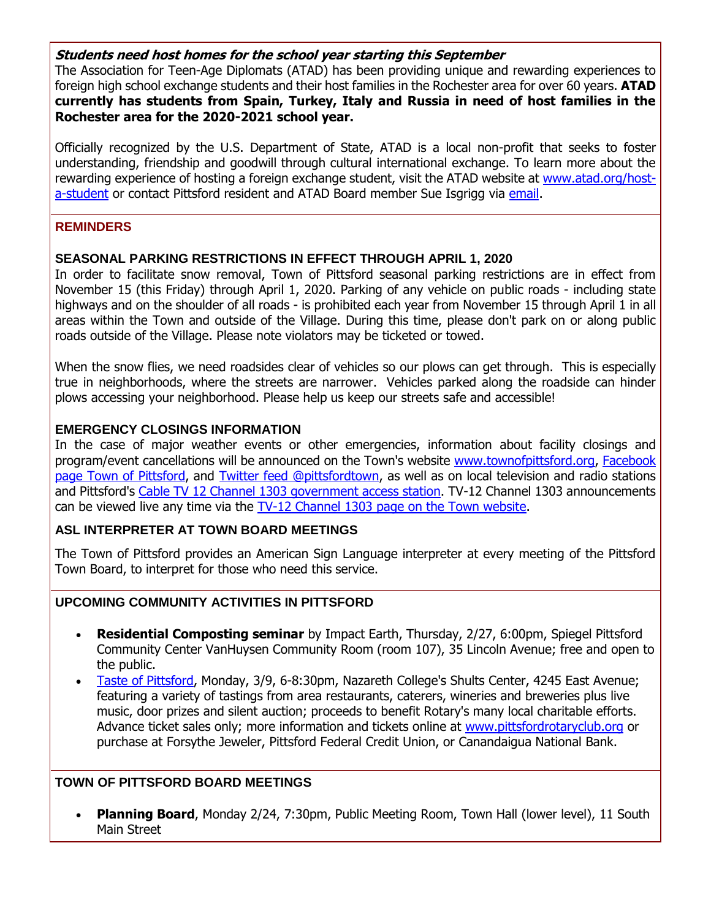#### **Students need host homes for the school year starting this September**

The Association for Teen-Age Diplomats (ATAD) has been providing unique and rewarding experiences to foreign high school exchange students and their host families in the Rochester area for over 60 years. **ATAD currently has students from Spain, Turkey, Italy and Russia in need of host families in the Rochester area for the 2020-2021 school year.**

Officially recognized by the U.S. Department of State, ATAD is a local non-profit that seeks to foster understanding, friendship and goodwill through cultural international exchange. To learn more about the rewarding experience of hosting a foreign exchange student, visit the ATAD website at [www.atad.org/host](http://r20.rs6.net/tn.jsp?f=001Gn3VHATbXSb8ikjX-mELQNJfCR6xoQiGKi-Dg8Yn91iFh9y7Yh53hQ7BBJI-T_A7nYL5o3VHM4VYrT3xlDSUxavSPhLmJKJ0O_t8PWKvV8f1Lfb2F4NEe6CcAyPsfx2pKsyUJtYga8sUhl7Jv5-FfKe44wIVcb1o-T_q15L3TBNJsIJKDSipjS2d481fJk5Cv8xubjorzP1gS3HyQWHoNnJQRLDTm_w9PNAzvE5NEpYKxeOGIjEgL_mxgpnQsB-e0uuOzLMO7gDEuAUd1Va6YnrY5OXJeCAM9ebl74K4iF8=&c=6Y2d3iDJG5aeDLACpk3DxI1ZAJI3R4-anSQc6XUPP62d4_RjqaZz8A==&ch=trIl9KfcWMwbew17OmBrYIUQDgyUaYFAj8an6fvYc-WuIBPgFM5PgQ==)[a-student](http://r20.rs6.net/tn.jsp?f=001Gn3VHATbXSb8ikjX-mELQNJfCR6xoQiGKi-Dg8Yn91iFh9y7Yh53hQ7BBJI-T_A7nYL5o3VHM4VYrT3xlDSUxavSPhLmJKJ0O_t8PWKvV8f1Lfb2F4NEe6CcAyPsfx2pKsyUJtYga8sUhl7Jv5-FfKe44wIVcb1o-T_q15L3TBNJsIJKDSipjS2d481fJk5Cv8xubjorzP1gS3HyQWHoNnJQRLDTm_w9PNAzvE5NEpYKxeOGIjEgL_mxgpnQsB-e0uuOzLMO7gDEuAUd1Va6YnrY5OXJeCAM9ebl74K4iF8=&c=6Y2d3iDJG5aeDLACpk3DxI1ZAJI3R4-anSQc6XUPP62d4_RjqaZz8A==&ch=trIl9KfcWMwbew17OmBrYIUQDgyUaYFAj8an6fvYc-WuIBPgFM5PgQ==) or contact Pittsford resident and ATAD Board member Sue Isgrigg via [email.](mailto:froggymom@aol.com?subject=ATAD%20Foreign%20Student%20Exchage%20-%20host%20family%20info)

#### **REMINDERS**

#### **SEASONAL PARKING RESTRICTIONS IN EFFECT THROUGH APRIL 1, 2020**

In order to facilitate snow removal, Town of Pittsford seasonal parking restrictions are in effect from November 15 (this Friday) through April 1, 2020. Parking of any vehicle on public roads - including state highways and on the shoulder of all roads - is prohibited each year from November 15 through April 1 in all areas within the Town and outside of the Village. During this time, please don't park on or along public roads outside of the Village. Please note violators may be ticketed or towed.

When the snow flies, we need roadsides clear of vehicles so our plows can get through. This is especially true in neighborhoods, where the streets are narrower. Vehicles parked along the roadside can hinder plows accessing your neighborhood. Please help us keep our streets safe and accessible!

#### **EMERGENCY CLOSINGS INFORMATION**

In the case of major weather events or other emergencies, information about facility closings and program/event cancellations will be announced on the Town's website [www.townofpittsford.org,](http://townofpittsford.org/?utm_source=eNews+2-19-20&utm_campaign=eNews+02-19-20&utm_medium=email) [Facebook](https://www.facebook.com/pages/Town-of-Pittsford/139082619464200)  [page Town of Pittsford,](https://www.facebook.com/pages/Town-of-Pittsford/139082619464200) and [Twitter feed @pittsfordtown,](http://r20.rs6.net/tn.jsp?f=001Gn3VHATbXSb8ikjX-mELQNJfCR6xoQiGKi-Dg8Yn91iFh9y7Yh53hWL9vB2txhhScpFV0y36EoRmOkKnWIDN08B8MfOH5a6uG-8UtBsIo6tE2jXV2WZcQ8zKHU-jMB6kr_zeN2IoHzahBDgZhsSHSRkKjkNiAuq-BGWEWgTSHcoY7fG7bDI8RA==&c=6Y2d3iDJG5aeDLACpk3DxI1ZAJI3R4-anSQc6XUPP62d4_RjqaZz8A==&ch=trIl9KfcWMwbew17OmBrYIUQDgyUaYFAj8an6fvYc-WuIBPgFM5PgQ==) as well as on local television and radio stations and Pittsford's [Cable TV 12 Channel 1303 government access station.](http://townofpittsford.org/home-channel12?utm_source=eNews+2-19-20&utm_campaign=eNews+02-19-20&utm_medium=email) TV-12 Channel 1303 announcements can be viewed live any time via the [TV-12 Channel 1303 page on the Town website.](http://townofpittsford.org/home-channel12?utm_source=eNews+2-19-20&utm_campaign=eNews+02-19-20&utm_medium=email)

#### **ASL INTERPRETER AT TOWN BOARD MEETINGS**

The Town of Pittsford provides an American Sign Language interpreter at every meeting of the Pittsford Town Board, to interpret for those who need this service.

#### **UPCOMING COMMUNITY ACTIVITIES IN PITTSFORD**

- **Residential Composting seminar** by Impact Earth, Thursday, 2/27, 6:00pm, Spiegel Pittsford Community Center VanHuysen Community Room (room 107), 35 Lincoln Avenue; free and open to the public.
- [Taste of Pittsford,](http://r20.rs6.net/tn.jsp?f=001Gn3VHATbXSb8ikjX-mELQNJfCR6xoQiGKi-Dg8Yn91iFh9y7Yh53hQe8_ImOE0qJRVeBi_EVtbpQCQMXBy-L4Ua-wt4d0N5g5AIXpoE0LDp7upk4dPxFVUF6205aIBdQJsa8fQl2dNV27ir9a1OU9_z7LI5O4czBqdB4pD18ryP3NIabdmyyUqAAATUBiEOhbCh-s3yBjJo_gFMgZn7Oq76T8c3lMsGXZ4EcJG_BWuIizljYcrZdaPfls4X8fD4R7kosqjkOIY4OkQxhJdLUgs78gWpjBfUd6_INMQtJD94=&c=6Y2d3iDJG5aeDLACpk3DxI1ZAJI3R4-anSQc6XUPP62d4_RjqaZz8A==&ch=trIl9KfcWMwbew17OmBrYIUQDgyUaYFAj8an6fvYc-WuIBPgFM5PgQ==) Monday, 3/9, 6-8:30pm, Nazareth College's Shults Center, 4245 East Avenue; featuring a variety of tastings from area restaurants, caterers, wineries and breweries plus live music, door prizes and silent auction; proceeds to benefit Rotary's many local charitable efforts. Advance ticket sales only; more information and tickets online at [www.pittsfordrotaryclub.org](http://r20.rs6.net/tn.jsp?f=001Gn3VHATbXSb8ikjX-mELQNJfCR6xoQiGKi-Dg8Yn91iFh9y7Yh53hQe8_ImOE0qJRVeBi_EVtbpQCQMXBy-L4Ua-wt4d0N5g5AIXpoE0LDp7upk4dPxFVUF6205aIBdQJsa8fQl2dNV27ir9a1OU9_z7LI5O4czBqdB4pD18ryP3NIabdmyyUqAAATUBiEOhbCh-s3yBjJo_gFMgZn7Oq76T8c3lMsGXZ4EcJG_BWuIizljYcrZdaPfls4X8fD4R7kosqjkOIY4OkQxhJdLUgs78gWpjBfUd6_INMQtJD94=&c=6Y2d3iDJG5aeDLACpk3DxI1ZAJI3R4-anSQc6XUPP62d4_RjqaZz8A==&ch=trIl9KfcWMwbew17OmBrYIUQDgyUaYFAj8an6fvYc-WuIBPgFM5PgQ==) or purchase at Forsythe Jeweler, Pittsford Federal Credit Union, or Canandaigua National Bank.

#### **TOWN OF PITTSFORD BOARD MEETINGS**

 **Planning Board**, Monday 2/24, 7:30pm, Public Meeting Room, Town Hall (lower level), 11 South Main Street